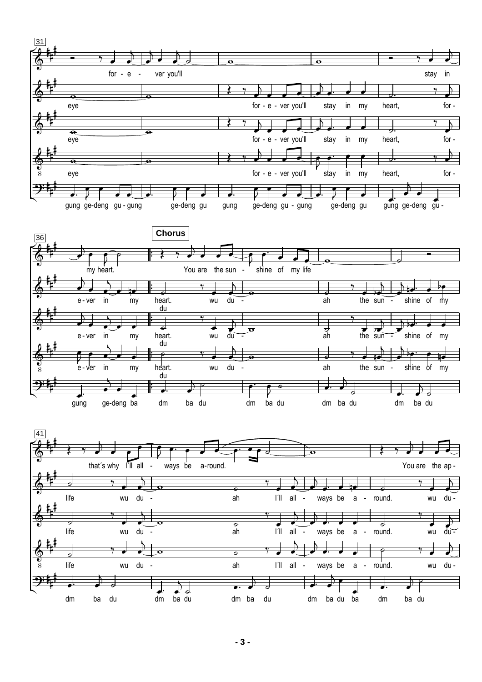

du -

 $\overline{\cdot}$ 

dm ba du  $\overline{\mathbf{f}}$  $\overline{P}$ 

wu du -  $\overline{\phantom{a}}$  $\mathbf{r}$ 

 $\overline{\mathcal{U}}$  $\overline{\phantom{a}}$ 

 $\overline{P}$ 

 $\overline{\phantom{a}}$  $\overline{a}$ 

ba du

 $\overline{\sigma}$   $\overline{\sigma}$ 

 $\circ$   $\circ$ 

 $\overrightarrow{a}$ 

ah

 $\frac{1}{\cdot}$ 

dm ba du

 $\overline{\phantom{a}}$  $\overline{a}$ 

 $\Box$ 

 $\overrightarrow{t}$  to  $\overrightarrow{t}$ 

 $\overline{\phantom{a}}$  $\mathbf{r}$ 

sun -

 $\frac{1}{\sqrt{2}}$ the  $\frac{1}{\sin \theta}$ 

 $\overline{\phantom{a}}$  $\frac{1}{2}$ 

 $\downarrow$ dm shine

shine

 $\overline{\phantom{a}}$  $\overline{K}$ 

ba  $\overline{a}$ du

of

 $\overline{\bullet}$ of my

 $\overline{\phantom{a}}$ my

e - ver

 e - ver in  $\overline{\epsilon}$  $\overline{\phantom{a}}$ .<br>h

 $\overline{\mathbf{f}}$ 

gung<br>gung

 $\Phi$  $\frac{1}{8}$ 

₩ H ╟

 $2:\frac{1}{4}$ H

in

 $\overline{\phantom{a}}$  $\overline{a}$  my

 $\overline{\phantom{a}}$ my

e<br>ge-deng ba  $\overline{\phantom{a}}$ 

heart. du

 $\frac{ac}{1-c}$ heart. du

 $\mathrel{\mathop:}$ dm